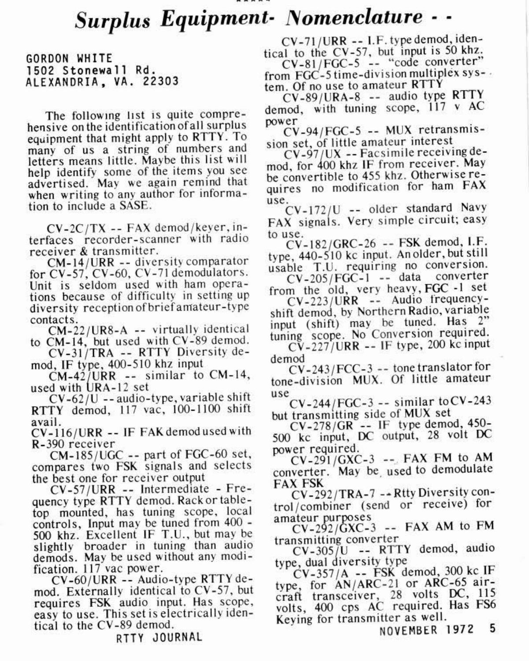## Surplus Equipment- Nomenclature - -

CORDON WHITE 1502 Stonewall Rd. ALEXANDRIA, VA. 22303

The following list is quite comprehensive on the identification of all surplus equipment that might apply to RTTY. To many of us a string of numbers and letters means little. Maybe this list will help identify some of the items you see advertised. May we again remind that when writing to any author for information to include a SASE.

CV-2C/TX -- FAX demod/kever.interfaces recorder-scanner with radio receiver & transmitter

CM-14/URR -- diversity comparator for CV-57, CV-60, CV-71 demodulators. Unit is seldom used with ham operations because of difficulty in setting up diversity reception of brief amateur-type contacts.

CM-22/UR8-A -- virtually identical to CM-14, but used with CV-89 demod.

CV-31/TRA -- RTTY Diversity demod. IF type, 400-510 khz input

 $CM-42$ /URR -- similar to CM-14, used with URA-12 set

 $CV-62/U$  -- audio-type, variable shift RTTY demod, 117 vac, 100-1100 shift avail

CV-116/URR -- IF FAK demodused with R-390 receiver

CM-185/UGC -- part of FGC-60 set, compares two FSK signals and selects the best one for receiver output

CV-57/URR -- Intermediate - Frequency type RTTY demod. Rack or tabletop mounted, has tuning scope, local controls, Input may be tuned from 400 -500 khz. Excellent IF T.U., but may be slightly broader in tuning than audio demods. May be used without any modification. 117 vac power.

CV-60/URR -- Audio-type RTTY demod. Externally identical to CV-57, but requires FSK audio input. Has scope, easy to use. This set is electrically identical to the CV-89 demod.

RTTY JOURNAL

CV-71/URR -- I.F. type demod, identical to the CV-57, but input is 50 khz. CV-81/FGC-5 -- "code converter" from FGC-5 time-division multiplex sys-

tem. Of no use to amateur RTTY

CV-89/URA-8 -- audio type RTTY demod, with tuning scone, 117 v AC power

CV-94/FGC-5 -- MUX retransmission set, of little amateur interest

CV-97/UX -- Facsimile receiving demod. for 400 khz IF from receiver. May be convertible to 455 khz. Otherwise requires no modification for ham FAX use.

CV-172/U -- older standard Navy FAX signals. Very simple circuit; easy to use.

CV-182/GRC-26 -- FSK demod, I.F. type, 440-510 kc input. An older, but still usable T.U. requiring no conversion. CV-205/FGC-1 -- data converter

from the old, very heavy, FGC -1 set CV-223/URR -- Audio frequency-

shift demod, by Northern Radio, variable input (shift) may be tuned. Has 2" tuning scope. No Conversion required.  $CV-227/URR$  -- IF type, 200 kc input

demod  $CV-243/FCC-3 --$  tone translator for

tone-division MUX. Of little amateur  $115P$ 

 $CV-244/FGC-3 -- similar to CV-243$ but transmitting side of MUX set

 $CV-278/GR$  -- IF type demod, 450-500 kc input, DC output, 28 volt DC power required.

 $CV-291/GXC-3$  -- FAX FM to AM converter. May be used to demodulate **FAX FSK** 

CV-292/TRA-7 -- Rtty Diversity control/combiner (send or receive) for amateur purposes

 $CV-292/\text{GXC-3}$  -- FAX AM to FM transmitting converter

CV-305/U -- RTTY demod, audio type, dual diversity type

CV-357/A -- FSK demod, 300 kc IF type, for AN/ARC-21 or ARC-65 aircraft transceiver, 28 volts DC, 115<br>volts, 400 cps AC required. Has FS6 Keying for transmitter as well.

NOVEMBER 1972 5